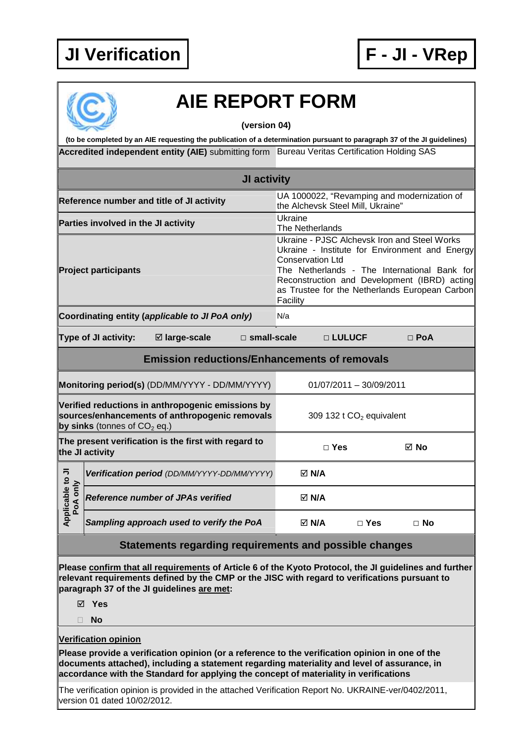## **JI Verification F - JI - VRep**



## **AIE REPORT FORM**

**(version 04)** 

Accredited independent entity (AIE) submitting form Bureau Veritas Certification Holding SAS **(to be completed by an AIE requesting the publication of a determination pursuant to paragraph 37 of the JI guidelines)** 

| JI activity                                                             |                                     |                                                                                                     |                    |                                                                                  |                         |                                      |                                                                                                                                                                                                                                                  |  |  |  |
|-------------------------------------------------------------------------|-------------------------------------|-----------------------------------------------------------------------------------------------------|--------------------|----------------------------------------------------------------------------------|-------------------------|--------------------------------------|--------------------------------------------------------------------------------------------------------------------------------------------------------------------------------------------------------------------------------------------------|--|--|--|
| Reference number and title of JI activity                               |                                     |                                                                                                     |                    | UA 1000022, "Revamping and modernization of<br>the Alchevsk Steel Mill, Ukraine" |                         |                                      |                                                                                                                                                                                                                                                  |  |  |  |
|                                                                         | Parties involved in the JI activity |                                                                                                     |                    | Ukraine                                                                          | The Netherlands         |                                      |                                                                                                                                                                                                                                                  |  |  |  |
|                                                                         | <b>Project participants</b>         |                                                                                                     |                    | Facility                                                                         | <b>Conservation Ltd</b> |                                      | Ukraine - PJSC Alchevsk Iron and Steel Works<br>Ukraine - Institute for Environment and Energy<br>The Netherlands - The International Bank for<br>Reconstruction and Development (IBRD) acting<br>as Trustee for the Netherlands European Carbon |  |  |  |
|                                                                         |                                     | Coordinating entity (applicable to JI PoA only)                                                     |                    | N/a                                                                              |                         |                                      |                                                                                                                                                                                                                                                  |  |  |  |
|                                                                         | Type of JI activity:                | ⊠ large-scale                                                                                       | $\Box$ small-scale |                                                                                  | □ LULUCF                |                                      | $\Box$ PoA                                                                                                                                                                                                                                       |  |  |  |
| <b>Emission reductions/Enhancements of removals</b>                     |                                     |                                                                                                     |                    |                                                                                  |                         |                                      |                                                                                                                                                                                                                                                  |  |  |  |
|                                                                         |                                     | Monitoring period(s) (DD/MM/YYYY - DD/MM/YYYY)                                                      |                    |                                                                                  |                         | 01/07/2011 - 30/09/2011              |                                                                                                                                                                                                                                                  |  |  |  |
|                                                                         | by sinks (tonnes of $CO2$ eq.)      | Verified reductions in anthropogenic emissions by<br>sources/enhancements of anthropogenic removals |                    |                                                                                  |                         | 309 132 t CO <sub>2</sub> equivalent |                                                                                                                                                                                                                                                  |  |  |  |
| The present verification is the first with regard to<br>the JI activity |                                     |                                                                                                     |                    |                                                                                  | $\Box$ Yes              |                                      | ⊠ No                                                                                                                                                                                                                                             |  |  |  |
|                                                                         |                                     | Verification period (DD/MM/YYYY-DD/MM/YYYY)                                                         |                    |                                                                                  | $\boxtimes$ N/A         |                                      |                                                                                                                                                                                                                                                  |  |  |  |
| Applicable to JI<br>PoA only                                            |                                     | <b>Reference number of JPAs verified</b>                                                            |                    |                                                                                  | $\boxtimes$ N/A         |                                      |                                                                                                                                                                                                                                                  |  |  |  |
|                                                                         |                                     | Sampling approach used to verify the PoA                                                            |                    |                                                                                  | $\boxtimes$ N/A         | $\Box$ Yes                           | $\Box$ No                                                                                                                                                                                                                                        |  |  |  |

## **Statements regarding requirements and possible changes**

**Please confirm that all requirements of Article 6 of the Kyoto Protocol, the JI guidelines and further relevant requirements defined by the CMP or the JISC with regard to verifications pursuant to paragraph 37 of the JI guidelines are met:** 

**Yes** 

**No** 

**Verification opinion**

**Please provide a verification opinion (or a reference to the verification opinion in one of the documents attached), including a statement regarding materiality and level of assurance, in accordance with the Standard for applying the concept of materiality in verifications** 

The verification opinion is provided in the attached Verification Report No. UKRAINE-ver/0402/2011, version 01 dated 10/02/2012.